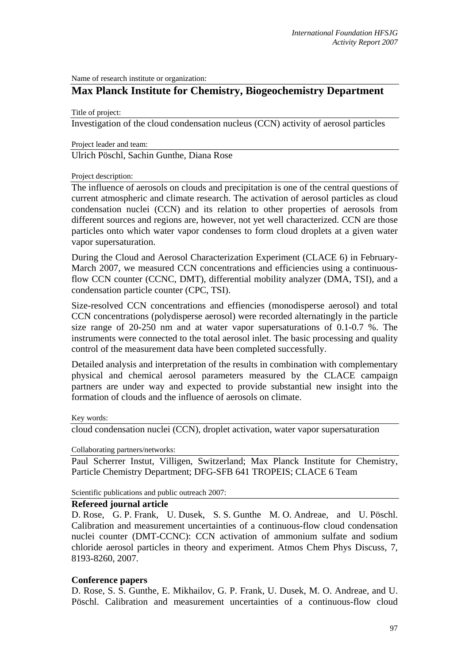Name of research institute or organization:

## **Max Planck Institute for Chemistry, Biogeochemistry Department**

Title of project:

Investigation of the cloud condensation nucleus (CCN) activity of aerosol particles

Project leader and team:

Ulrich Pöschl, Sachin Gunthe, Diana Rose

Project description:

The influence of aerosols on clouds and precipitation is one of the central questions of current atmospheric and climate research. The activation of aerosol particles as cloud condensation nuclei (CCN) and its relation to other properties of aerosols from different sources and regions are, however, not yet well characterized. CCN are those particles onto which water vapor condenses to form cloud droplets at a given water vapor supersaturation.

During the Cloud and Aerosol Characterization Experiment (CLACE 6) in February-March 2007, we measured CCN concentrations and efficiencies using a continuousflow CCN counter (CCNC, DMT), differential mobility analyzer (DMA, TSI), and a condensation particle counter (CPC, TSI).

Size-resolved CCN concentrations and effiencies (monodisperse aerosol) and total CCN concentrations (polydisperse aerosol) were recorded alternatingly in the particle size range of 20-250 nm and at water vapor supersaturations of 0.1-0.7 %. The instruments were connected to the total aerosol inlet. The basic processing and quality control of the measurement data have been completed successfully.

Detailed analysis and interpretation of the results in combination with complementary physical and chemical aerosol parameters measured by the CLACE campaign partners are under way and expected to provide substantial new insight into the formation of clouds and the influence of aerosols on climate.

Key words:

cloud condensation nuclei (CCN), droplet activation, water vapor supersaturation

Collaborating partners/networks:

Paul Scherrer Instut, Villigen, Switzerland; Max Planck Institute for Chemistry, Particle Chemistry Department; DFG-SFB 641 TROPEIS; CLACE 6 Team

Scientific publications and public outreach 2007:

## **Refereed journal article**

D. Rose, G. P. Frank, U. Dusek, S. S. Gunthe M. O. Andreae, and U. Pöschl. Calibration and measurement uncertainties of a continuous-flow cloud condensation nuclei counter (DMT-CCNC): CCN activation of ammonium sulfate and sodium chloride aerosol particles in theory and experiment. Atmos Chem Phys Discuss, 7, 8193-8260, 2007.

## **Conference papers**

D. Rose, S. S. Gunthe, E. Mikhailov, G. P. Frank, U. Dusek, M. O. Andreae, and U. Pöschl. Calibration and measurement uncertainties of a continuous-flow cloud